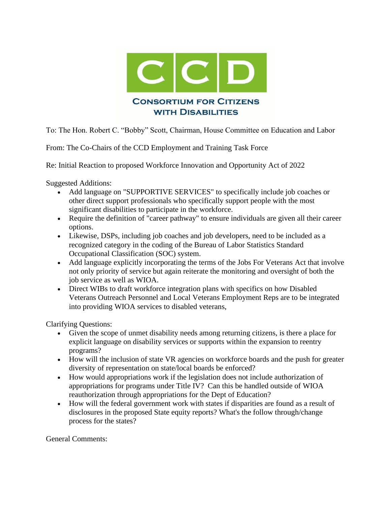

To: The Hon. Robert C. "Bobby" Scott, Chairman, House Committee on Education and Labor

From: The Co-Chairs of the CCD Employment and Training Task Force

Re: Initial Reaction to proposed Workforce Innovation and Opportunity Act of 2022

Suggested Additions:

- Add language on "SUPPORTIVE SERVICES" to specifically include job coaches or other direct support professionals who specifically support people with the most significant disabilities to participate in the workforce.
- Require the definition of "career pathway" to ensure individuals are given all their career options.
- Likewise, DSPs, including job coaches and job developers, need to be included as a recognized category in the coding of the Bureau of Labor Statistics Standard Occupational Classification (SOC) system.
- Add language explicitly incorporating the terms of the Jobs For Veterans Act that involve not only priority of service but again reiterate the monitoring and oversight of both the job service as well as WIOA.
- Direct WIBs to draft workforce integration plans with specifics on how Disabled Veterans Outreach Personnel and Local Veterans Employment Reps are to be integrated into providing WIOA services to disabled veterans,

Clarifying Questions:

- Given the scope of unmet disability needs among returning citizens, is there a place for explicit language on disability services or supports within the expansion to reentry programs?
- How will the inclusion of state VR agencies on workforce boards and the push for greater diversity of representation on state/local boards be enforced?
- How would appropriations work if the legislation does not include authorization of appropriations for programs under Title IV? Can this be handled outside of WIOA reauthorization through appropriations for the Dept of Education?
- How will the federal government work with states if disparities are found as a result of disclosures in the proposed State equity reports? What's the follow through/change process for the states?

General Comments: